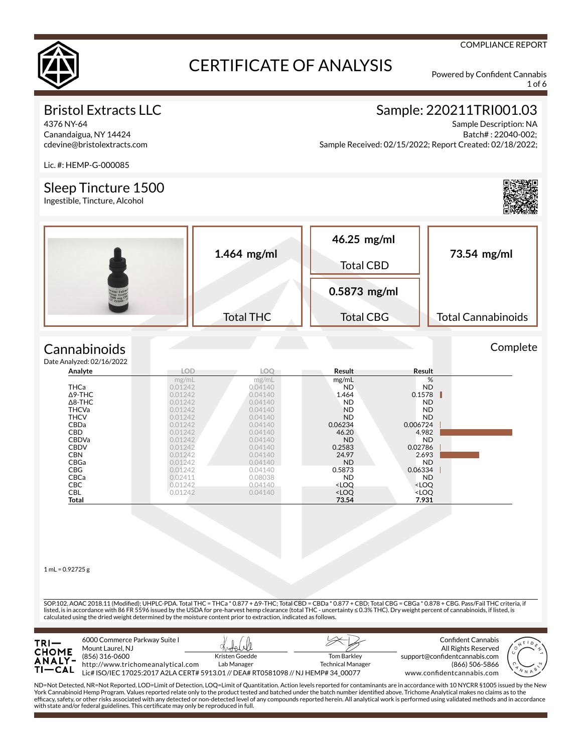

1 of 6

COMPLIANCE REPORT

### Bristol Extracts LLC

4376 NY-64 Canandaigua, NY 14424 cdevine@bristolextracts.com

### Sample: 220211TRI001.03

Sample Description: NA Batch# : 22040-002; Sample Received: 02/15/2022; Report Created: 02/18/2022;

Lic. #: HEMP-G-000085

#### Sleep Tincture 1500

Ingestible, Tincture, Alcohol



**Complete** 

| $1.464$ mg/ml    | 46.25 mg/ml<br><b>Total CBD</b> | 73.54 mg/ml               |  |
|------------------|---------------------------------|---------------------------|--|
|                  | $0.5873$ mg/ml                  |                           |  |
| <b>Total THC</b> | <b>Total CBG</b>                | <b>Total Cannabinoids</b> |  |

#### **Cannabinoids**  $Data$

| e Analyzed: 02/16/2022 |         |         |                                                          |                              |  |
|------------------------|---------|---------|----------------------------------------------------------|------------------------------|--|
| Analyte                | LOD     | LOO     | Result                                                   | Result                       |  |
|                        | mg/mL   | mg/mL   | mg/mL                                                    | %                            |  |
| <b>THCa</b>            | 0.01242 | 0.04140 | ND.                                                      | ND.                          |  |
| $\Delta$ 9-THC         | 0.01242 | 0.04140 | 1.464                                                    | 0.1578                       |  |
| $\Delta$ 8-THC         | 0.01242 | 0.04140 | <b>ND</b>                                                | <b>ND</b>                    |  |
| <b>THCVa</b>           | 0.01242 | 0.04140 | <b>ND</b>                                                | <b>ND</b>                    |  |
| <b>THCV</b>            | 0.01242 | 0.04140 | <b>ND</b>                                                | <b>ND</b>                    |  |
| <b>CBDa</b>            | 0.01242 | 0.04140 | 0.06234                                                  | 0.006724                     |  |
| <b>CBD</b>             | 0.01242 | 0.04140 | 46.20                                                    | 4.982                        |  |
| <b>CBDVa</b>           | 0.01242 | 0.04140 | <b>ND</b>                                                | <b>ND</b>                    |  |
| <b>CBDV</b>            | 0.01242 | 0.04140 | 0.2583                                                   | 0.02786                      |  |
| <b>CBN</b>             | 0.01242 | 0.04140 | 24.97                                                    | 2.693                        |  |
| CBGa                   | 0.01242 | 0.04140 | <b>ND</b>                                                | <b>ND</b>                    |  |
| <b>CBG</b>             | 0.01242 | 0.04140 | 0.5873                                                   | 0.06334                      |  |
| <b>CBCa</b>            | 0.02411 | 0.08038 | <b>ND</b>                                                | ND.                          |  |
| <b>CBC</b>             | 0.01242 | 0.04140 | <loq< td=""><td><loq< td=""><td></td></loq<></td></loq<> | <loq< td=""><td></td></loq<> |  |
| CBL                    | 0.01242 | 0.04140 | <loq< td=""><td><loq< td=""><td></td></loq<></td></loq<> | <loq< td=""><td></td></loq<> |  |
| Total                  |         |         | 73.54                                                    | 7.931                        |  |

 $1 mL = 0.92725 g$ 

SOP.102, AOAC 2018.11 (Modied); UHPLC-PDA. Total THC = THCa \* 0.877 + Δ9-THC; Total CBD = CBDa \* 0.877 + CBD; Total CBG = CBGa \* 0.878 + CBG. Pass/Fail THC criteria, if listed, is in accordance with 86 FR 5596 issued by the USDA for pre-harvest hemp clearance (total THC - uncertainty ≤ 0.3% THC). Dry weight percent of cannabinoids, if listed, is calculated using the dried weight determined by the moisture content prior to extraction, indicated as follows.



ND=Not Detected, NR=Not Reported, LOD=Limit of Detection, LOQ=Limit of Quantitation. Action levels reported for contaminants are in accordance with 10 NYCRR §1005 issued by the New<br>York Cannabinoid Hemp Program. Values rep efcacy, safety, or other risks associated with any detected or non-detected level of any compounds reported herein. All analytical work is performed using validated methods and in accordance with state and/or federal guidelines. This certificate may only be reproduced in full.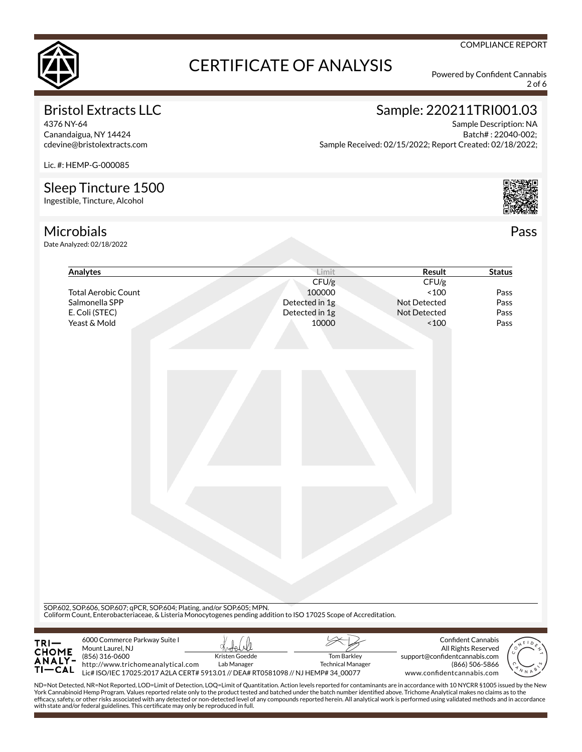

2 of 6

COMPLIANCE REPORT

### Bristol Extracts LLC

4376 NY-64 Canandaigua, NY 14424 cdevine@bristolextracts.com

### Sample: 220211TRI001.03

Sample Description: NA Batch# : 22040-002; Sample Received: 02/15/2022; Report Created: 02/18/2022;

Lic. #: HEMP-G-000085

#### Sleep Tincture 1500

Ingestible, Tincture, Alcohol



**Microbials** Date Analyzed: 02/18/2022 Pass

| Analytes                                                                     | Limit                                                                                                                                                                                         | Result                                           | <b>Status</b>  |
|------------------------------------------------------------------------------|-----------------------------------------------------------------------------------------------------------------------------------------------------------------------------------------------|--------------------------------------------------|----------------|
|                                                                              | CFU/g                                                                                                                                                                                         | CFU/g                                            |                |
| <b>Total Aerobic Count</b>                                                   | 100000                                                                                                                                                                                        | ~100                                             | Pass           |
| Salmonella SPP                                                               | Detected in 1g                                                                                                                                                                                | Not Detected                                     | Pass           |
| E. Coli (STEC)                                                               | Detected in 1g                                                                                                                                                                                | Not Detected                                     | Pass           |
| Yeast & Mold                                                                 | 10000                                                                                                                                                                                         | ~100                                             | Pass           |
|                                                                              |                                                                                                                                                                                               |                                                  |                |
|                                                                              |                                                                                                                                                                                               |                                                  |                |
|                                                                              |                                                                                                                                                                                               |                                                  |                |
|                                                                              |                                                                                                                                                                                               |                                                  |                |
|                                                                              |                                                                                                                                                                                               |                                                  |                |
|                                                                              |                                                                                                                                                                                               |                                                  |                |
|                                                                              | SOP.602, SOP.606, SOP.607; qPCR, SOP.604; Plating, and/or SOP.605; MPN.<br>Coliform Count, Enterobacteriaceae, & Listeria Monocytogenes pending addition to ISO 17025 Scope of Accreditation. |                                                  |                |
|                                                                              |                                                                                                                                                                                               |                                                  |                |
|                                                                              |                                                                                                                                                                                               |                                                  |                |
| 6000 Commerce Parkway Suite I<br>TRI—<br>CHOME<br>ANALY-<br>Mount Laurel, NJ |                                                                                                                                                                                               | <b>Confident Cannabis</b><br>All Rights Reserved |                |
| (856) 316-0600                                                               | Kristen Goedde<br><b>Tom Barkley</b>                                                                                                                                                          | support@confidentcannabis.com                    |                |
|                                                                              | Lab Manager                                                                                                                                                                                   |                                                  |                |
| http://www.trichomeanalytical.com<br>$TI-CAL$                                | <b>Technical Manager</b><br>Lic# ISO/IEC 17025:2017 A2LA CERT# 5913.01 // DEA# RT0581098 // NJ HEMP# 34_00077                                                                                 |                                                  | (866) 506-5866 |

ND=Not Detected, NR=Not Reported, LOD=Limit of Detection, LOQ=Limit of Quantitation. Action levels reported for contaminants are in accordance with 10 NYCRR §1005 issued by the New<br>York Cannabinoid Hemp Program. Values rep efcacy, safety, or other risks associated with any detected or non-detected level of any compounds reported herein. All analytical work is performed using validated methods and in accordance with state and/or federal guidelines. This certificate may only be reproduced in full.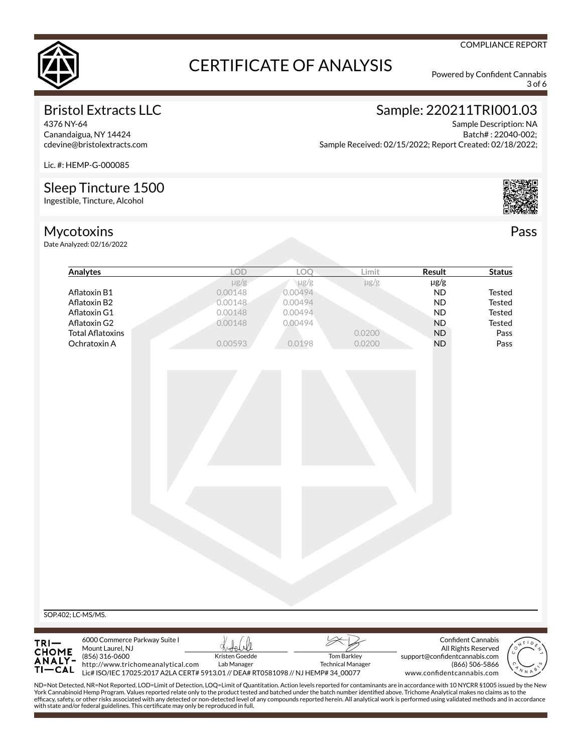

3 of 6

COMPLIANCE REPORT

### Bristol Extracts LLC

4376 NY-64 Canandaigua, NY 14424 cdevine@bristolextracts.com

## Sample: 220211TRI001.03

Sample Description: NA Batch# : 22040-002; Sample Received: 02/15/2022; Report Created: 02/18/2022;

Lic. #: HEMP-G-000085

#### Sleep Tincture 1500

Ingestible, Tincture, Alcohol

### Mycotoxins

Date Analyzed: 02/16/2022



Pass

|                                                                                                                                                                                                                                                                                                                                                                             | <b>LOD</b>                                                                        | LOQ       | Limit                    | Result                        | <b>Status</b>       |
|-----------------------------------------------------------------------------------------------------------------------------------------------------------------------------------------------------------------------------------------------------------------------------------------------------------------------------------------------------------------------------|-----------------------------------------------------------------------------------|-----------|--------------------------|-------------------------------|---------------------|
|                                                                                                                                                                                                                                                                                                                                                                             | $\mu$ g/g                                                                         | $\mu$ g/g | $\mu$ g/g                | $\mu$ g/g                     |                     |
| Aflatoxin B1                                                                                                                                                                                                                                                                                                                                                                | 0.00148                                                                           | 0.00494   |                          | <b>ND</b>                     | <b>Tested</b>       |
| Aflatoxin B2                                                                                                                                                                                                                                                                                                                                                                | 0.00148                                                                           | 0.00494   |                          | <b>ND</b>                     | <b>Tested</b>       |
| Aflatoxin G1                                                                                                                                                                                                                                                                                                                                                                | 0.00148                                                                           | 0.00494   |                          | <b>ND</b>                     | <b>Tested</b>       |
| Aflatoxin G2                                                                                                                                                                                                                                                                                                                                                                | 0.00148                                                                           | 0.00494   |                          | <b>ND</b>                     | <b>Tested</b>       |
| <b>Total Aflatoxins</b>                                                                                                                                                                                                                                                                                                                                                     |                                                                                   |           | 0.0200                   | ND                            | Pass                |
| Ochratoxin A                                                                                                                                                                                                                                                                                                                                                                | 0.00593                                                                           | 0.0198    | 0.0200                   | <b>ND</b>                     | Pass                |
|                                                                                                                                                                                                                                                                                                                                                                             |                                                                                   |           |                          |                               |                     |
|                                                                                                                                                                                                                                                                                                                                                                             |                                                                                   |           |                          |                               |                     |
|                                                                                                                                                                                                                                                                                                                                                                             |                                                                                   |           |                          |                               |                     |
|                                                                                                                                                                                                                                                                                                                                                                             |                                                                                   |           |                          |                               |                     |
|                                                                                                                                                                                                                                                                                                                                                                             |                                                                                   |           |                          |                               |                     |
|                                                                                                                                                                                                                                                                                                                                                                             |                                                                                   |           |                          |                               |                     |
| SOP.402; LC-MS/MS.                                                                                                                                                                                                                                                                                                                                                          |                                                                                   |           |                          |                               |                     |
| 6000 Commerce Parkway Suite I                                                                                                                                                                                                                                                                                                                                               |                                                                                   |           |                          |                               | Confident Cannabis  |
| Mount Laurel, NJ                                                                                                                                                                                                                                                                                                                                                            |                                                                                   |           |                          |                               | All Rights Reserved |
| (856) 316-0600                                                                                                                                                                                                                                                                                                                                                              | Kristen Goedde                                                                    |           | <b>Tom Barkley</b>       | support@confidentcannabis.com |                     |
| TRI-<br>CHOME<br>ANALY-<br>http://www.trichomeanalytical.com<br>$TI-CAL$                                                                                                                                                                                                                                                                                                    | Lab Manager                                                                       |           | <b>Technical Manager</b> |                               | (866) 506-5866      |
|                                                                                                                                                                                                                                                                                                                                                                             | Lic# ISO/IEC 17025:2017 A2LA CERT# 5913.01 // DEA# RT0581098 // NJ HEMP# 34_00077 |           |                          | www.confidentcannabis.com     |                     |
| ND=Not Detected, NR=Not Reported, LOD=Limit of Detection, LOQ=Limit of Quantitation. Action levels reported for contaminants are in accordance with 10 NYCRR §1005 issued by the New<br>York Cannabinoid Hemp Program. Values reported relate only to the product tested and batched under the batch number identified above. Trichome Analytical makes no claims as to the |                                                                                   |           |                          |                               |                     |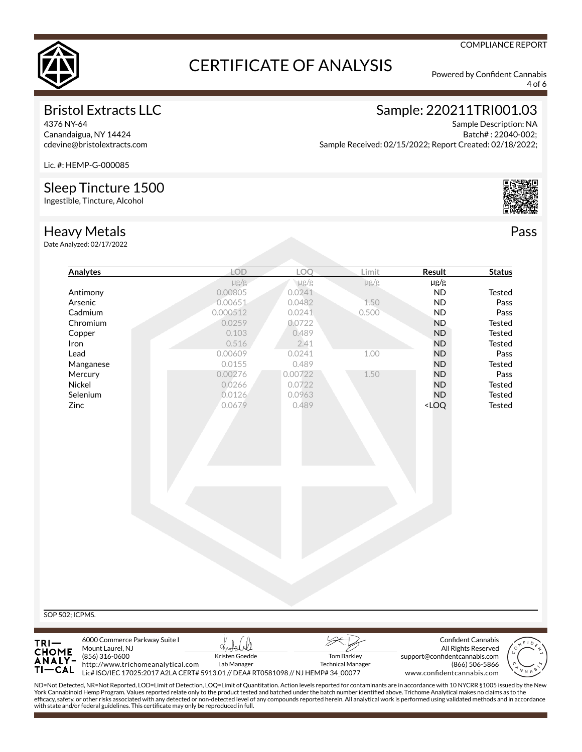

4 of 6

COMPLIANCE REPORT

### Bristol Extracts LLC

4376 NY-64 Canandaigua, NY 14424 cdevine@bristolextracts.com

### Sample: 220211TRI001.03

Sample Description: NA Batch# : 22040-002; Sample Received: 02/15/2022; Report Created: 02/18/2022;

Lic. #: HEMP-G-000085

#### Sleep Tincture 1500

Ingestible, Tincture, Alcohol



Pass

#### Heavy Metals

Date Analyzed: 02/17/2022

Τŀ

—CAL

http://www.trichomeanalytical.com

|                 | LOD       | LOQ       | Limit     | <b>Result</b>                      | <b>Status</b> |
|-----------------|-----------|-----------|-----------|------------------------------------|---------------|
|                 | $\mu$ g/g | $\mu$ g/g | $\mu$ g/g | $\mu$ g/g                          |               |
| Antimony        | 0.00805   | 0.0241    |           | <b>ND</b>                          | Tested        |
| Arsenic         | 0.00651   | 0.0482    | 1.50      | <b>ND</b>                          | Pass          |
| Cadmium         | 0.000512  | 0.0241    | 0.500     | <b>ND</b>                          | Pass          |
| Chromium        | 0.0259    | 0.0722    |           | <b>ND</b>                          | Tested        |
| Copper          | 0.103     | 0.489     |           | <b>ND</b>                          | <b>Tested</b> |
| Iron            | 0.516     | 2.41      |           | <b>ND</b>                          | <b>Tested</b> |
| Lead            | 0.00609   | 0.0241    | 1.00      | <b>ND</b>                          | Pass          |
| Manganese       | 0.0155    | 0.489     |           | ND                                 | Tested        |
| Mercury         | 0.00276   | 0.00722   | 1.50      | <b>ND</b>                          | Pass          |
| Nickel          | 0.0266    | 0.0722    |           | <b>ND</b>                          | <b>Tested</b> |
| Selenium        | 0.0126    | 0.0963    |           | <b>ND</b>                          | Tested        |
| Zinc            | 0.0679    | 0.489     |           | <loq< td=""><td>Tested</td></loq<> | Tested        |
|                 |           |           |           |                                    |               |
|                 |           |           |           |                                    |               |
| SOP 502; ICPMS. |           |           |           |                                    |               |



ND=Not Detected, NR=Not Reported, LOD=Limit of Detection, LOQ=Limit of Quantitation. Action levels reported for contaminants are in accordance with 10 NYCRR §1005 issued by the New<br>York Cannabinoid Hemp Program. Values rep efcacy, safety, or other risks associated with any detected or non-detected level of any compounds reported herein. All analytical work is performed using validated methods and in accordance with state and/or federal guidelines. This certificate may only be reproduced in full.

Technical Manager

Lic# ISO/IEC 17025:2017 A2LA CERT# 5913.01 // DEA# RT0581098 // NJ HEMP# 34\_00077

Lab Manager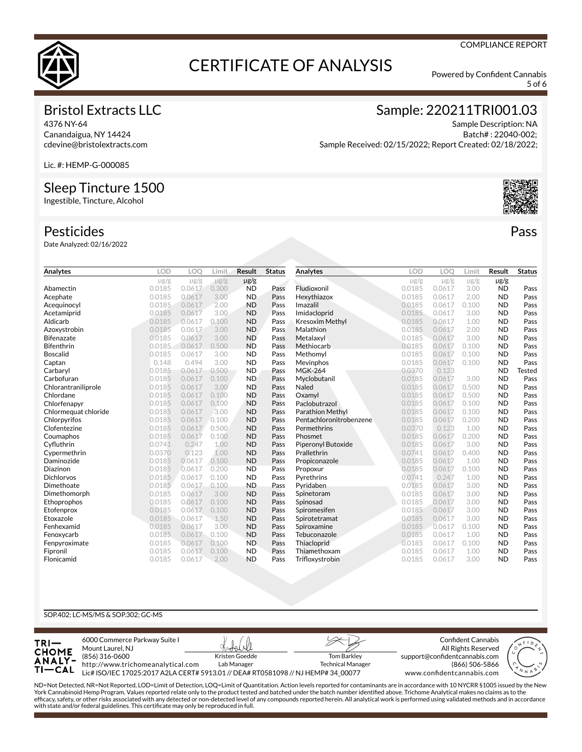

5 of 6

#### Bristol Extracts LLC

4376 NY-64 Canandaigua, NY 14424 cdevine@bristolextracts.com Sample: 220211TRI001.03

Sample Description: NA Batch# : 22040-002; Sample Received: 02/15/2022; Report Created: 02/18/2022;

Lic. #: HEMP-G-000085

#### Sleep Tincture 1500

Ingestible, Tincture, Alcohol

#### Pesticides

Date Analyzed: 02/16/2022

| Analytes             | LOD       | LOO       | Limit     | Result    | <b>Status</b> | Analytes                | <b>LOD</b> | LOO       | Limit     | Result    | <b>Status</b> |
|----------------------|-----------|-----------|-----------|-----------|---------------|-------------------------|------------|-----------|-----------|-----------|---------------|
|                      | $\mu$ g/g | $\mu$ g/g | $\mu$ g/g | $\mu$ g/g |               |                         | $\mu$ g/g  | $\mu$ g/g | $\mu$ g/g | $\mu$ g/g |               |
| Abamectin            | 0.0185    | 0.0617    | 0.300     | <b>ND</b> | Pass          | Fludioxonil             | 0.0185     | 0.0617    | 3.00      | <b>ND</b> | Pass          |
| Acephate             | 0.0185    | 0.0617    | 3.00      | <b>ND</b> | Pass          | Hexythiazox             | 0.0185     | 0.0617    | 2.00      | <b>ND</b> | Pass          |
| Acequinocyl          | 0.0185    | 0.0617    | 2.00      | <b>ND</b> | Pass          | Imazalil                | 0.0185     | 0.0617    | 0.100     | <b>ND</b> | Pass          |
| Acetamiprid          | 0.0185    | 0.0617    | 3.00      | <b>ND</b> | Pass          | Imidacloprid            | 0.0185     | 0.0617    | 3.00      | <b>ND</b> | Pass          |
| Aldicarb             | 0.0185    | 0.0617    | 0.100     | <b>ND</b> | Pass          | <b>Kresoxim Methyl</b>  | 0.0185     | 0.0617    | 1.00      | <b>ND</b> | Pass          |
| Azoxystrobin         | 0.0185    | 0.0617    | 3.00      | <b>ND</b> | Pass          | Malathion               | 0.0185     | 0.0617    | 2.00      | <b>ND</b> | Pass          |
| <b>Bifenazate</b>    | 0.0185    | 0.0617    | 3.00      | <b>ND</b> | Pass          | Metalaxyl               | 0.0185     | 0.0617    | 3.00      | <b>ND</b> | Pass          |
| Bifenthrin           | 0.0185    | 0.0617    | 0.500     | <b>ND</b> | Pass          | Methiocarb              | 0.0185     | 0.0617    | 0.100     | <b>ND</b> | Pass          |
| <b>Boscalid</b>      | 0.0185    | 0.0617    | 3.00      | <b>ND</b> | Pass          | Methomyl                | 0.0185     | 0.0617    | 0.100     | <b>ND</b> | Pass          |
| Captan               | 0.148     | 0.494     | 3.00      | <b>ND</b> | Pass          | Mevinphos               | 0.0185     | 0.0617    | 0.100     | <b>ND</b> | Pass          |
| Carbaryl             | 0.0185    | 0.0617    | 0.500     | <b>ND</b> | Pass          | <b>MGK-264</b>          | 0.0370     | 0.123     |           | <b>ND</b> | Tested        |
| Carbofuran           | 0.0185    | 0.0617    | 0.100     | <b>ND</b> | Pass          | Myclobutanil            | 0.0185     | 0.0617    | 3.00      | <b>ND</b> | Pass          |
| Chlorantraniliprole  | 0.0185    | 0.0617    | 3.00      | <b>ND</b> | Pass          | Naled                   | 0.0185     | 0.0617    | 0.500     | <b>ND</b> | Pass          |
| Chlordane            | 0.0185    | 0.0617    | 0.100     | <b>ND</b> | Pass          | Oxamyl                  | 0.0185     | 0.0617    | 0.500     | <b>ND</b> | Pass          |
| Chlorfenapyr         | 0.0185    | 0.0617    | 0.100     | <b>ND</b> | Pass          | Paclobutrazol           | 0.0185     | 0.0617    | 0.100     | <b>ND</b> | Pass          |
| Chlormeguat chloride | 0.0185    | 0.0617    | 3.00      | <b>ND</b> | Pass          | <b>Parathion Methyl</b> | 0.0185     | 0.0617    | 0.100     | <b>ND</b> | Pass          |
| Chlorpyrifos         | 0.0185    | 0.0617    | 0.100     | <b>ND</b> | Pass          | Pentachloronitrobenzene | 0.0185     | 0.0617    | 0.200     | <b>ND</b> | Pass          |
| Clofentezine         | 0.0185    | 0.0617    | 0.500     | <b>ND</b> | Pass          | Permethrins             | 0.0370     | 0.123     | 1.00      | <b>ND</b> | Pass          |
| Coumaphos            | 0.0185    | 0.0617    | 0.100     | <b>ND</b> | Pass          | Phosmet                 | 0.0185     | 0.0617    | 0.200     | <b>ND</b> | Pass          |
| Cyfluthrin           | 0.0741    | 0.247     | 1.00      | <b>ND</b> | Pass          | Piperonyl Butoxide      | 0.0185     | 0.0617    | 3.00      | <b>ND</b> | Pass          |
| Cypermethrin         | 0.0370    | 0.123     | 1.00      | <b>ND</b> | Pass          | Prallethrin             | 0.0741     | 0.0617    | 0.400     | <b>ND</b> | Pass          |
| Daminozide           | 0.0185    | 0.0617    | 0.100     | <b>ND</b> | Pass          | Propiconazole           | 0.0185     | 0.0617    | 1.00      | <b>ND</b> | Pass          |
| Diazinon             | 0.0185    | 0.0617    | 0.200     | <b>ND</b> | Pass          | Propoxur                | 0.0185     | 0.0617    | 0.100     | <b>ND</b> | Pass          |
| <b>Dichlorvos</b>    | 0.0185    | 0.0617    | 0.100     | <b>ND</b> | Pass          | Pyrethrins              | 0.0741     | 0.247     | 1.00      | <b>ND</b> | Pass          |
| Dimethoate           | 0.0185    | 0.0617    | 0.100     | <b>ND</b> | Pass          | Pyridaben               | 0.0185     | 0.0617    | 3.00      | <b>ND</b> | Pass          |
| Dimethomorph         | 0.0185    | 0.0617    | 3.00      | <b>ND</b> | Pass          | Spinetoram              | 0.0185     | 0.0617    | 3.00      | <b>ND</b> | Pass          |
| Ethoprophos          | 0.0185    | 0.0617    | 0.100     | <b>ND</b> | Pass          | Spinosad                | 0.0185     | 0.0617    | 3.00      | <b>ND</b> | Pass          |
| Etofenprox           | 0.0185    | 0.0617    | 0.100     | <b>ND</b> | Pass          | Spiromesifen            | 0.0185     | 0.0617    | 3.00      | <b>ND</b> | Pass          |
| Etoxazole            | 0.0185    | 0.0617    | 1.50      | <b>ND</b> | Pass          | Spirotetramat           | 0.0185     | 0.0617    | 3.00      | <b>ND</b> | Pass          |
| Fenhexamid           | 0.0185    | 0.0617    | 3.00      | <b>ND</b> | Pass          | Spiroxamine             | 0.0185     | 0.0617    | 0.100     | <b>ND</b> | Pass          |
| Fenoxycarb           | 0.0185    | 0.0617    | 0.100     | <b>ND</b> | Pass          | Tebuconazole            | 0.0185     | 0.0617    | 1.00      | <b>ND</b> | Pass          |
| Fenpyroximate        | 0.0185    | 0.0617    | 0.100     | <b>ND</b> | Pass          | Thiacloprid             | 0.0185     | 0.0617    | 0.100     | <b>ND</b> | Pass          |
| Fipronil             | 0.0185    | 0.0617    | 0.100     | <b>ND</b> | Pass          | Thiamethoxam            | 0.0185     | 0.0617    | 1.00      | <b>ND</b> | Pass          |
| Flonicamid           | 0.0185    | 0.0617    | 2.00      | <b>ND</b> | Pass          | Trifloxystrobin         | 0.0185     | 0.0617    | 3.00      | <b>ND</b> | Pass          |

#### SOP.402; LC-MS/MS & SOP.302; GC-MS



ND=Not Detected, NR=Not Reported, LOD=Limit of Detection, LOQ=Limit of Quantitation. Action levels reported for contaminants are in accordance with 10 NYCRR §1005 issued by the New<br>York Cannabinoid Hemp Program. Values rep efcacy, safety, or other risks associated with any detected or non-detected level of any compounds reported herein. All analytical work is performed using validated methods and in accordance with state and/or federal guidelines. This certificate may only be reproduced in full.



Pass

#### COMPLIANCE REPORT